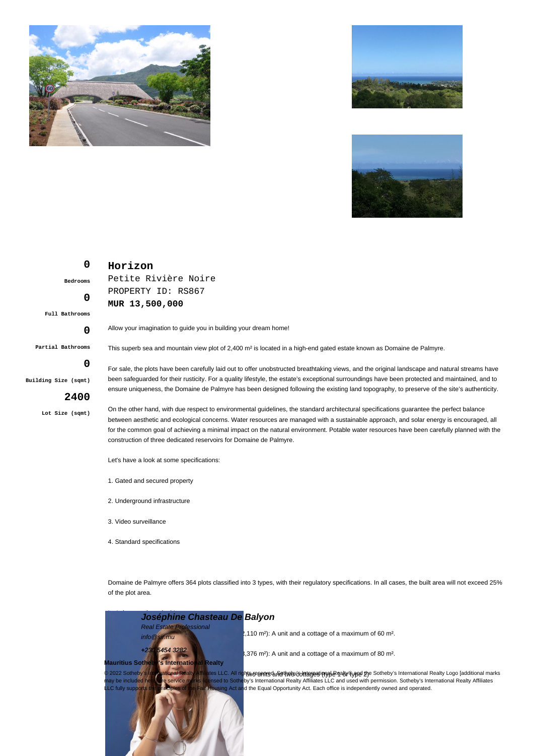





## **0 Bedrooms 0 Full Bathrooms**

**Partial Bathrooms**

**0**

**0**

**Building Size (sqmt)**

## **2400**

**Lot Size (sqmt)**

Allow your imagination to guide you in building your dream home!

Petite Rivière Noire PROPERTY ID: RS867

**MUR 13,500,000**

**Horizon**

This superb sea and mountain view plot of 2,400 m<sup>2</sup> is located in a high-end gated estate known as Domaine de Palmyre.

For sale, the plots have been carefully laid out to offer unobstructed breathtaking views, and the original landscape and natural streams have been safeguarded for their rusticity. For a quality lifestyle, the estate's exceptional surroundings have been protected and maintained, and to ensure uniqueness, the Domaine de Palmyre has been designed following the existing land topography, to preserve of the site's authenticity.

On the other hand, with due respect to environmental guidelines, the standard architectural specifications guarantee the perfect balance between aesthetic and ecological concerns. Water resources are managed with a sustainable approach, and solar energy is encouraged, all for the common goal of achieving a minimal impact on the natural environment. Potable water resources have been carefully planned with the construction of three dedicated reservoirs for Domaine de Palmyre.

Let's have a look at some specifications:

- 1. Gated and secured property
- 2. Underground infrastructure
- 3. Video surveillance
- 4. Standard specifications

Domaine de Palmyre offers 364 plots classified into 3 types, with their regulatory specifications. In all cases, the built area will not exceed 25% of the plot area.